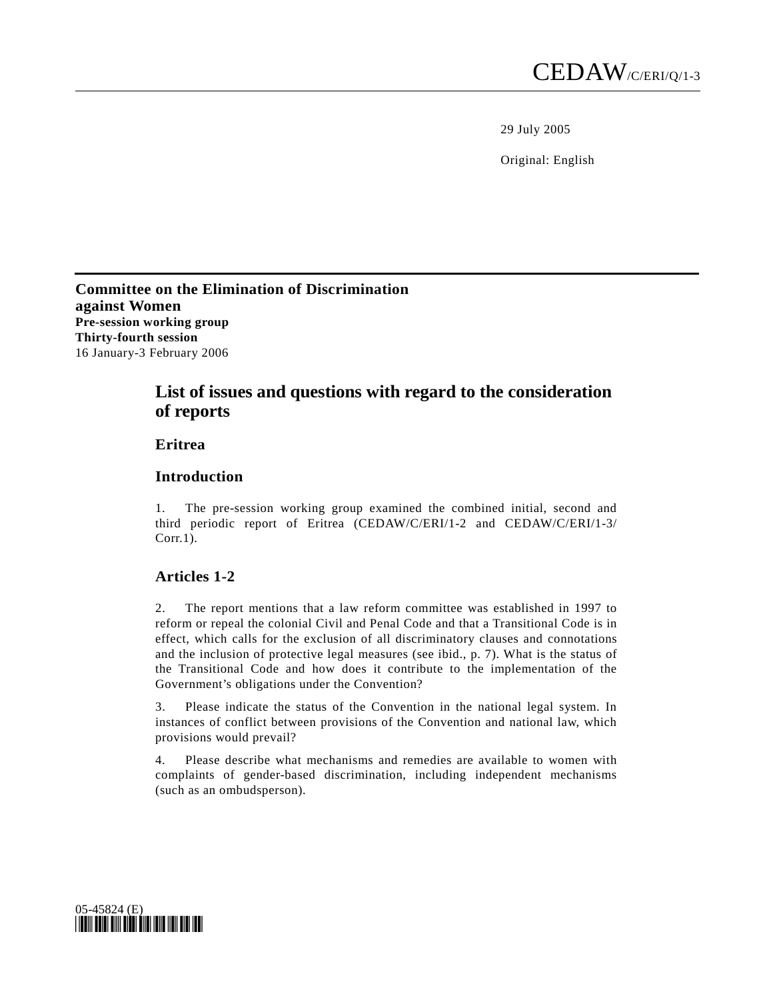29 July 2005

Original: English

**Committee on the Elimination of Discrimination against Women Pre-session working group Thirty-fourth session**  16 January-3 February 2006

# **List of issues and questions with regard to the consideration of reports**

# **Eritrea**

### **Introduction**

1. The pre-session working group examined the combined initial, second and third periodic report of Eritrea (CEDAW/C/ERI/1-2 and CEDAW/C/ERI/1-3/ Corr.1).

### **Articles 1-2**

2. The report mentions that a law reform committee was established in 1997 to reform or repeal the colonial Civil and Penal Code and that a Transitional Code is in effect, which calls for the exclusion of all discriminatory clauses and connotations and the inclusion of protective legal measures (see ibid., p. 7). What is the status of the Transitional Code and how does it contribute to the implementation of the Government's obligations under the Convention?

3. Please indicate the status of the Convention in the national legal system. In instances of conflict between provisions of the Convention and national law, which provisions would prevail?

4. Please describe what mechanisms and remedies are available to women with complaints of gender-based discrimination, including independent mechanisms (such as an ombudsperson).

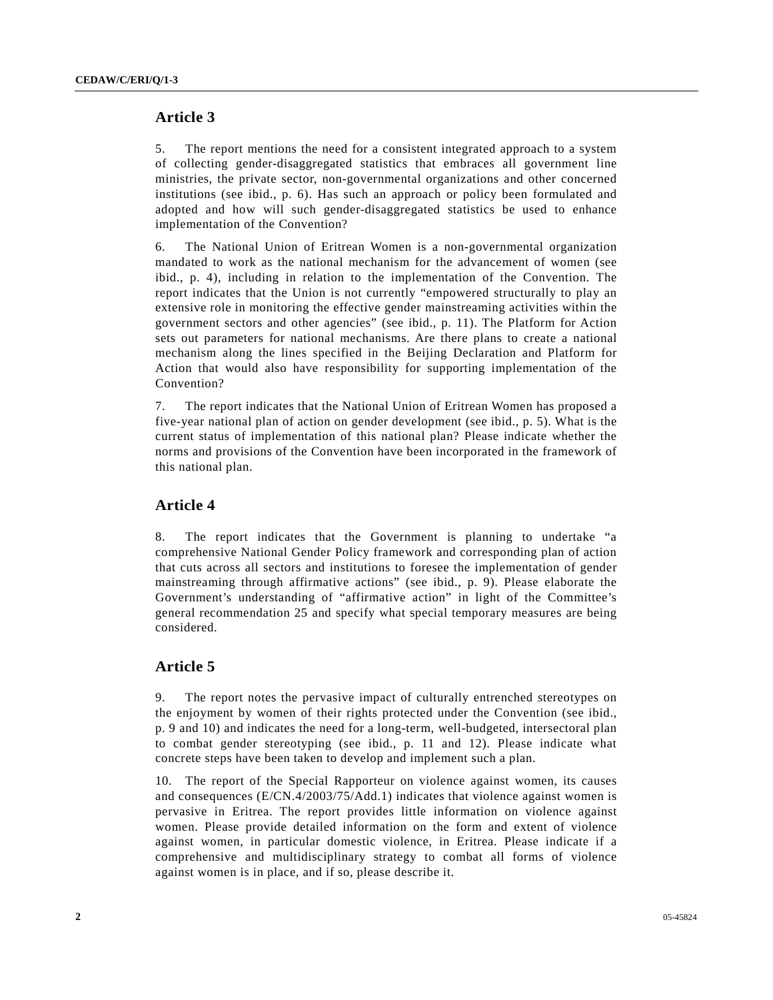# **Article 3**

5. The report mentions the need for a consistent integrated approach to a system of collecting gender-disaggregated statistics that embraces all government line ministries, the private sector, non-governmental organizations and other concerned institutions (see ibid., p. 6). Has such an approach or policy been formulated and adopted and how will such gender-disaggregated statistics be used to enhance implementation of the Convention?

6. The National Union of Eritrean Women is a non-governmental organization mandated to work as the national mechanism for the advancement of women (see ibid., p. 4), including in relation to the implementation of the Convention. The report indicates that the Union is not currently "empowered structurally to play an extensive role in monitoring the effective gender mainstreaming activities within the government sectors and other agencies" (see ibid., p. 11). The Platform for Action sets out parameters for national mechanisms. Are there plans to create a national mechanism along the lines specified in the Beijing Declaration and Platform for Action that would also have responsibility for supporting implementation of the Convention?

7. The report indicates that the National Union of Eritrean Women has proposed a five-year national plan of action on gender development (see ibid., p. 5). What is the current status of implementation of this national plan? Please indicate whether the norms and provisions of the Convention have been incorporated in the framework of this national plan.

# **Article 4**

8. The report indicates that the Government is planning to undertake "a comprehensive National Gender Policy framework and corresponding plan of action that cuts across all sectors and institutions to foresee the implementation of gender mainstreaming through affirmative actions" (see ibid., p. 9). Please elaborate the Government's understanding of "affirmative action" in light of the Committee's general recommendation 25 and specify what special temporary measures are being considered.

# **Article 5**

9. The report notes the pervasive impact of culturally entrenched stereotypes on the enjoyment by women of their rights protected under the Convention (see ibid., p. 9 and 10) and indicates the need for a long-term, well-budgeted, intersectoral plan to combat gender stereotyping (see ibid., p. 11 and 12). Please indicate what concrete steps have been taken to develop and implement such a plan.

10. The report of the Special Rapporteur on violence against women, its causes and consequences (E/CN.4/2003/75/Add.1) indicates that violence against women is pervasive in Eritrea. The report provides little information on violence against women. Please provide detailed information on the form and extent of violence against women, in particular domestic violence, in Eritrea. Please indicate if a comprehensive and multidisciplinary strategy to combat all forms of violence against women is in place, and if so, please describe it.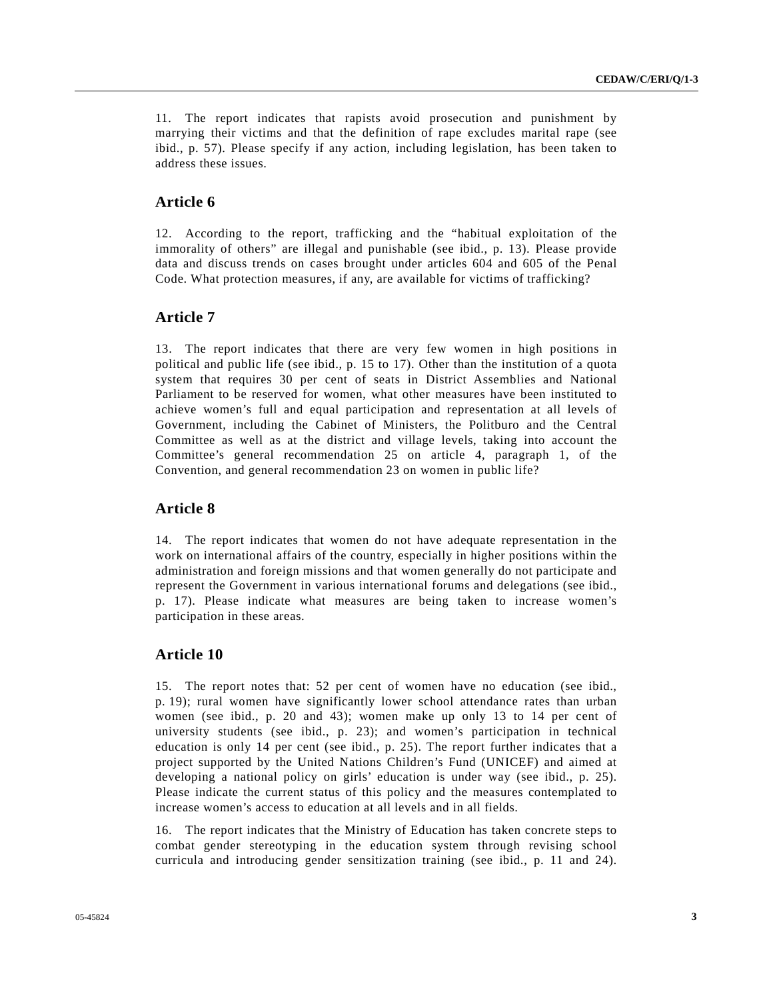11. The report indicates that rapists avoid prosecution and punishment by marrying their victims and that the definition of rape excludes marital rape (see ibid., p. 57). Please specify if any action, including legislation, has been taken to address these issues.

# **Article 6**

12. According to the report, trafficking and the "habitual exploitation of the immorality of others" are illegal and punishable (see ibid., p. 13). Please provide data and discuss trends on cases brought under articles 604 and 605 of the Penal Code. What protection measures, if any, are available for victims of trafficking?

#### **Article 7**

13. The report indicates that there are very few women in high positions in political and public life (see ibid., p. 15 to 17). Other than the institution of a quota system that requires 30 per cent of seats in District Assemblies and National Parliament to be reserved for women, what other measures have been instituted to achieve women's full and equal participation and representation at all levels of Government, including the Cabinet of Ministers, the Politburo and the Central Committee as well as at the district and village levels, taking into account the Committee's general recommendation 25 on article 4, paragraph 1, of the Convention, and general recommendation 23 on women in public life?

#### **Article 8**

14. The report indicates that women do not have adequate representation in the work on international affairs of the country, especially in higher positions within the administration and foreign missions and that women generally do not participate and represent the Government in various international forums and delegations (see ibid., p. 17). Please indicate what measures are being taken to increase women's participation in these areas.

# **Article 10**

15. The report notes that: 52 per cent of women have no education (see ibid., p. 19); rural women have significantly lower school attendance rates than urban women (see ibid., p. 20 and 43); women make up only 13 to 14 per cent of university students (see ibid., p. 23); and women's participation in technical education is only 14 per cent (see ibid., p. 25). The report further indicates that a project supported by the United Nations Children's Fund (UNICEF) and aimed at developing a national policy on girls' education is under way (see ibid., p. 25). Please indicate the current status of this policy and the measures contemplated to increase women's access to education at all levels and in all fields.

16. The report indicates that the Ministry of Education has taken concrete steps to combat gender stereotyping in the education system through revising school curricula and introducing gender sensitization training (see ibid., p. 11 and 24).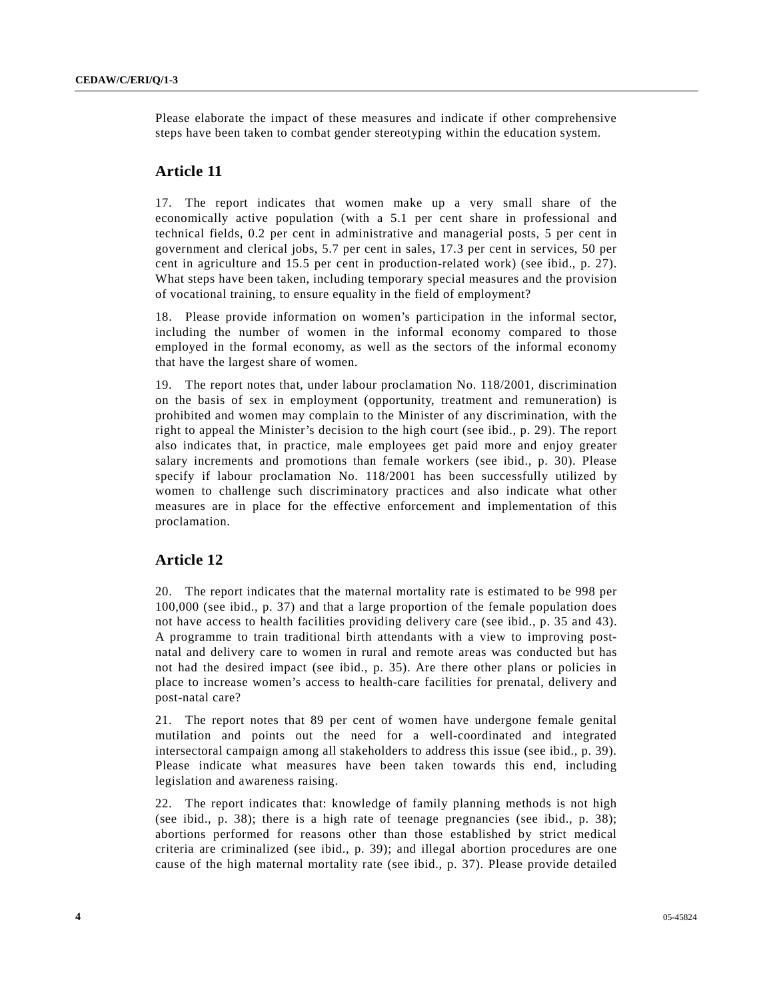Please elaborate the impact of these measures and indicate if other comprehensive steps have been taken to combat gender stereotyping within the education system.

#### **Article 11**

17. The report indicates that women make up a very small share of the economically active population (with a 5.1 per cent share in professional and technical fields, 0.2 per cent in administrative and managerial posts, 5 per cent in government and clerical jobs, 5.7 per cent in sales, 17.3 per cent in services, 50 per cent in agriculture and 15.5 per cent in production-related work) (see ibid., p. 27). What steps have been taken, including temporary special measures and the provision of vocational training, to ensure equality in the field of employment?

18. Please provide information on women's participation in the informal sector, including the number of women in the informal economy compared to those employed in the formal economy, as well as the sectors of the informal economy that have the largest share of women.

19. The report notes that, under labour proclamation No. 118/2001, discrimination on the basis of sex in employment (opportunity, treatment and remuneration) is prohibited and women may complain to the Minister of any discrimination, with the right to appeal the Minister's decision to the high court (see ibid., p. 29). The report also indicates that, in practice, male employees get paid more and enjoy greater salary increments and promotions than female workers (see ibid., p. 30). Please specify if labour proclamation No. 118/2001 has been successfully utilized by women to challenge such discriminatory practices and also indicate what other measures are in place for the effective enforcement and implementation of this proclamation.

### **Article 12**

20. The report indicates that the maternal mortality rate is estimated to be 998 per 100,000 (see ibid., p. 37) and that a large proportion of the female population does not have access to health facilities providing delivery care (see ibid., p. 35 and 43). A programme to train traditional birth attendants with a view to improving postnatal and delivery care to women in rural and remote areas was conducted but has not had the desired impact (see ibid., p. 35). Are there other plans or policies in place to increase women's access to health-care facilities for prenatal, delivery and post-natal care?

21. The report notes that 89 per cent of women have undergone female genital mutilation and points out the need for a well-coordinated and integrated intersectoral campaign among all stakeholders to address this issue (see ibid., p. 39). Please indicate what measures have been taken towards this end, including legislation and awareness raising.

22. The report indicates that: knowledge of family planning methods is not high (see ibid., p. 38); there is a high rate of teenage pregnancies (see ibid., p. 38); abortions performed for reasons other than those established by strict medical criteria are criminalized (see ibid., p. 39); and illegal abortion procedures are one cause of the high maternal mortality rate (see ibid., p. 37). Please provide detailed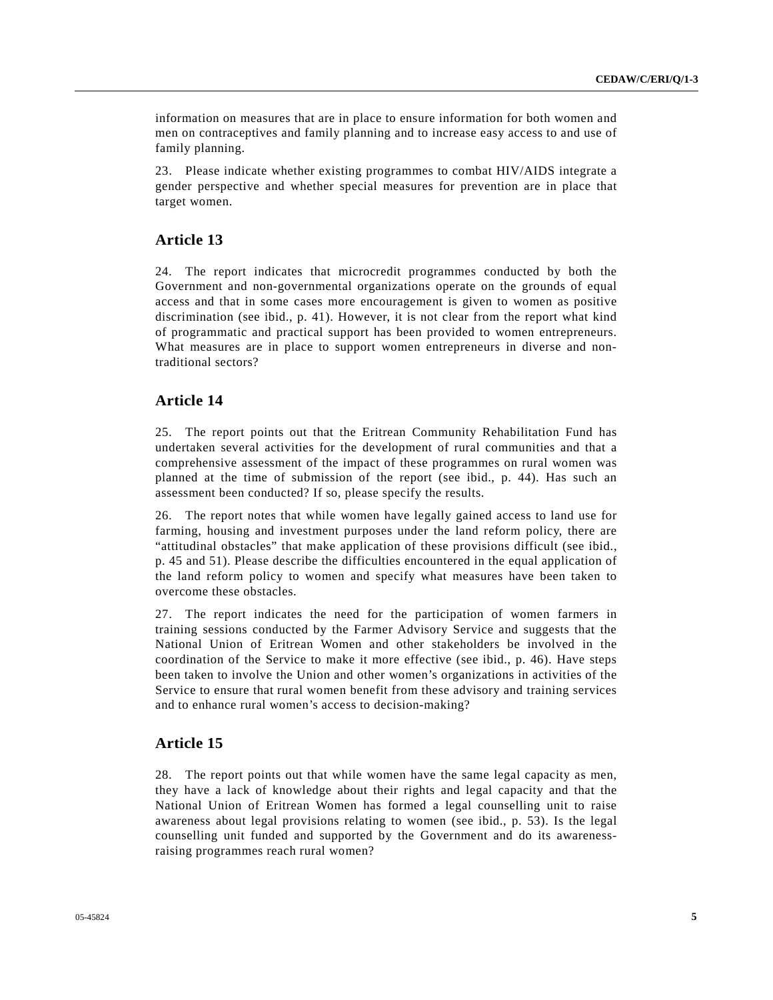information on measures that are in place to ensure information for both women and men on contraceptives and family planning and to increase easy access to and use of family planning.

23. Please indicate whether existing programmes to combat HIV/AIDS integrate a gender perspective and whether special measures for prevention are in place that target women.

### **Article 13**

24. The report indicates that microcredit programmes conducted by both the Government and non-governmental organizations operate on the grounds of equal access and that in some cases more encouragement is given to women as positive discrimination (see ibid., p. 41). However, it is not clear from the report what kind of programmatic and practical support has been provided to women entrepreneurs. What measures are in place to support women entrepreneurs in diverse and nontraditional sectors?

### **Article 14**

25. The report points out that the Eritrean Community Rehabilitation Fund has undertaken several activities for the development of rural communities and that a comprehensive assessment of the impact of these programmes on rural women was planned at the time of submission of the report (see ibid., p. 44). Has such an assessment been conducted? If so, please specify the results.

26. The report notes that while women have legally gained access to land use for farming, housing and investment purposes under the land reform policy, there are "attitudinal obstacles" that make application of these provisions difficult (see ibid., p. 45 and 51). Please describe the difficulties encountered in the equal application of the land reform policy to women and specify what measures have been taken to overcome these obstacles.

27. The report indicates the need for the participation of women farmers in training sessions conducted by the Farmer Advisory Service and suggests that the National Union of Eritrean Women and other stakeholders be involved in the coordination of the Service to make it more effective (see ibid., p. 46). Have steps been taken to involve the Union and other women's organizations in activities of the Service to ensure that rural women benefit from these advisory and training services and to enhance rural women's access to decision-making?

## **Article 15**

28. The report points out that while women have the same legal capacity as men, they have a lack of knowledge about their rights and legal capacity and that the National Union of Eritrean Women has formed a legal counselling unit to raise awareness about legal provisions relating to women (see ibid., p. 53). Is the legal counselling unit funded and supported by the Government and do its awarenessraising programmes reach rural women?